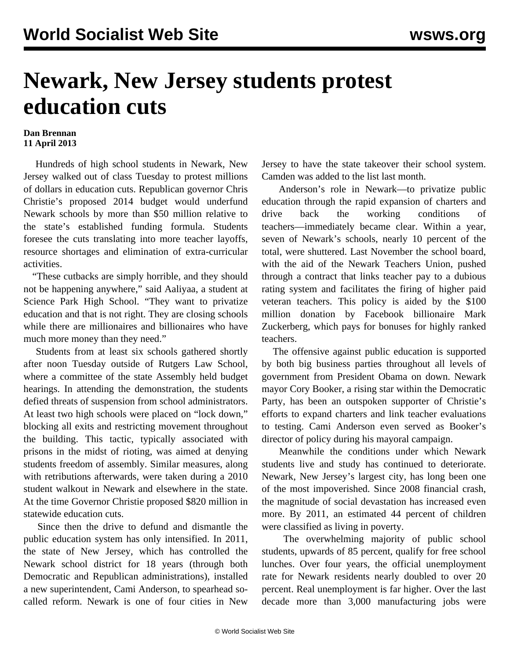## **Newark, New Jersey students protest education cuts**

## **Dan Brennan 11 April 2013**

 Hundreds of high school students in Newark, New Jersey walked out of class Tuesday to protest millions of dollars in education cuts. Republican governor Chris Christie's proposed 2014 budget would underfund Newark schools by more than \$50 million relative to the state's established funding formula. Students foresee the cuts translating into more teacher layoffs, resource shortages and elimination of extra-curricular activities.

 "These cutbacks are simply horrible, and they should not be happening anywhere," said Aaliyaa, a student at Science Park High School. "They want to privatize education and that is not right. They are closing schools while there are millionaires and billionaires who have much more money than they need."

 Students from at least six schools gathered shortly after noon Tuesday outside of Rutgers Law School, where a committee of the state Assembly held budget hearings. In attending the demonstration, the students defied threats of suspension from school administrators. At least two high schools were placed on "lock down," blocking all exits and restricting movement throughout the building. This tactic, typically associated with prisons in the midst of rioting, was aimed at denying students freedom of assembly. Similar measures, along with retributions afterwards, were taken during a 2010 student walkout in Newark and elsewhere in the state. At the time Governor Christie proposed \$820 million in statewide education cuts.

 Since then the drive to defund and dismantle the public education system has only intensified. In 2011, the state of New Jersey, which has controlled the Newark school district for 18 years (through both Democratic and Republican administrations), installed a new superintendent, Cami Anderson, to spearhead socalled reform. Newark is one of four cities in New Jersey to have the state takeover their school system. Camden was added to the list last month.

 Anderson's role in Newark—to privatize public education through the rapid expansion of charters and drive back the working conditions of teachers—immediately became clear. Within a year, seven of Newark's schools, nearly 10 percent of the total, were shuttered. Last November the school board, with the aid of the Newark Teachers Union, pushed through a contract that links teacher pay to a dubious rating system and facilitates the firing of higher paid veteran teachers. This policy is aided by the \$100 million donation by Facebook billionaire Mark Zuckerberg, which pays for bonuses for highly ranked teachers.

 The offensive against public education is supported by both big business parties throughout all levels of government from President Obama on down. Newark mayor Cory Booker, a rising star within the Democratic Party, has been an outspoken supporter of Christie's efforts to expand charters and link teacher evaluations to testing. Cami Anderson even served as Booker's director of policy during his mayoral campaign.

 Meanwhile the conditions under which Newark students live and study has continued to deteriorate. Newark, New Jersey's largest city, has long been one of the most impoverished. Since 2008 financial crash, the magnitude of social devastation has increased even more. By 2011, an estimated 44 percent of children were classified as living in poverty.

 The overwhelming majority of public school students, upwards of 85 percent, qualify for free school lunches. Over four years, the official unemployment rate for Newark residents nearly doubled to over 20 percent. Real unemployment is far higher. Over the last decade more than 3,000 manufacturing jobs were